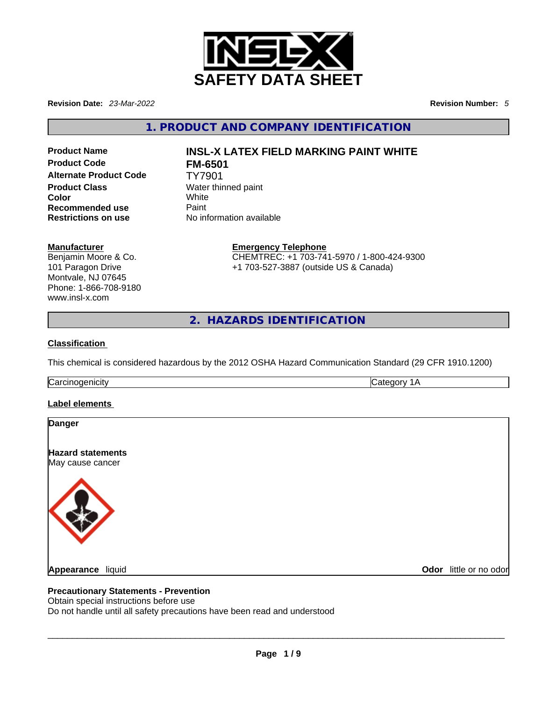

**Revision Date:** *23-Mar-2022* **Revision Number:** *5*

**1. PRODUCT AND COMPANY IDENTIFICATION** 

**Product Code FM-6501 Alternate Product Code** TY7901 **Product Class** Water thinned paint **Color** White **Recommended use Paint Restrictions on use** No information available

# **Product Name INSL-X LATEX FIELD MARKING PAINT WHITE**

#### **Manufacturer**

Benjamin Moore & Co. 101 Paragon Drive Montvale, NJ 07645 Phone: 1-866-708-9180 www.insl-x.com

**Emergency Telephone** CHEMTREC: +1 703-741-5970 / 1-800-424-9300 +1 703-527-3887 (outside US & Canada)

**2. HAZARDS IDENTIFICATION** 

#### **Classification**

This chemical is considered hazardous by the 2012 OSHA Hazard Communication Standard (29 CFR 1910.1200)

Carcinogenicity Category 1A

#### **Label elements**

| Danger                                       |                        |
|----------------------------------------------|------------------------|
| <b>Hazard statements</b><br>May cause cancer |                        |
|                                              |                        |
|                                              |                        |
|                                              |                        |
|                                              |                        |
| Appearance liquid                            | Odor little or no odor |

#### **Precautionary Statements - Prevention**

Obtain special instructions before use

Do not handle until all safety precautions have been read and understood **Appearance** liquid **Odor** little or no odor<br> **Precautionary Statements - Prevention**<br>
Obtain special instructions before use<br>
Do not handle until all safety precautions have been read and understood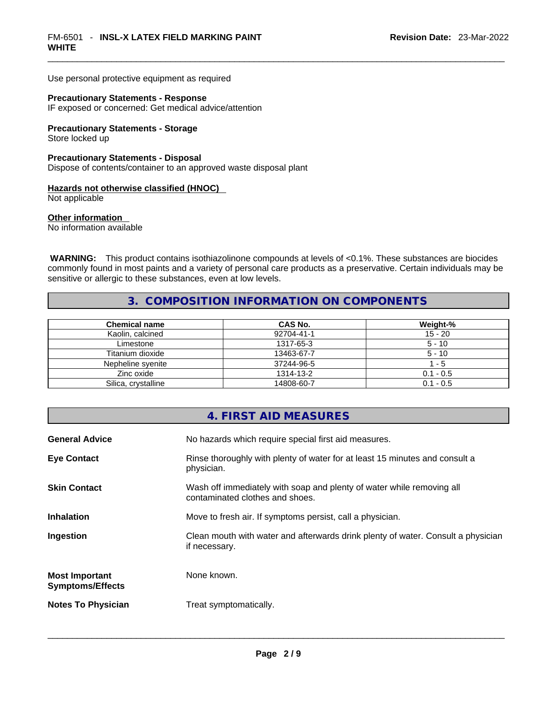Use personal protective equipment as required

#### **Precautionary Statements - Response**

IF exposed or concerned: Get medical advice/attention

#### **Precautionary Statements - Storage**

Store locked up

#### **Precautionary Statements - Disposal**

Dispose of contents/container to an approved waste disposal plant

#### **Hazards not otherwise classified (HNOC)**

Not applicable

#### **Other information**

No information available

 **WARNING:** This product contains isothiazolinone compounds at levels of <0.1%. These substances are biocides commonly found in most paints and a variety of personal care products as a preservative. Certain individuals may be sensitive or allergic to these substances, even at low levels.

#### **3. COMPOSITION INFORMATION ON COMPONENTS**

| <b>Chemical name</b> | CAS No.    | Weight-%    |
|----------------------|------------|-------------|
| Kaolin, calcined     | 92704-41-1 | $15 - 20$   |
| Limestone            | 1317-65-3  | $5 - 10$    |
| Titanium dioxide     | 13463-67-7 | $5 - 10$    |
| Nepheline syenite    | 37244-96-5 | - 5         |
| Zinc oxide           | 1314-13-2  | $0.1 - 0.5$ |
| Silica, crystalline  | 14808-60-7 | $0.1 - 0.5$ |

#### **4. FIRST AID MEASURES**

| <b>General Advice</b>                            | No hazards which require special first aid measures.                                                     |
|--------------------------------------------------|----------------------------------------------------------------------------------------------------------|
| <b>Eye Contact</b>                               | Rinse thoroughly with plenty of water for at least 15 minutes and consult a<br>physician.                |
| <b>Skin Contact</b>                              | Wash off immediately with soap and plenty of water while removing all<br>contaminated clothes and shoes. |
| <b>Inhalation</b>                                | Move to fresh air. If symptoms persist, call a physician.                                                |
| Ingestion                                        | Clean mouth with water and afterwards drink plenty of water. Consult a physician<br>if necessary.        |
| <b>Most Important</b><br><b>Symptoms/Effects</b> | None known.                                                                                              |
| <b>Notes To Physician</b>                        | Treat symptomatically.                                                                                   |
|                                                  |                                                                                                          |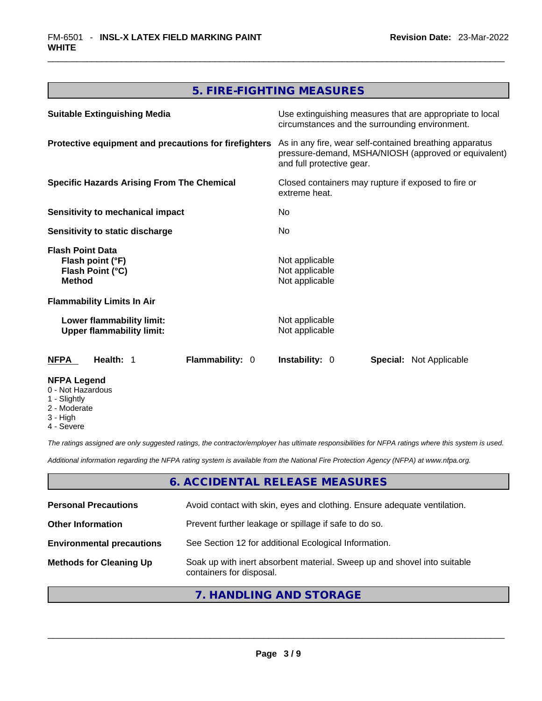# **5. FIRE-FIGHTING MEASURES**

| <b>Suitable Extinguishing Media</b>                                                                                   | Use extinguishing measures that are appropriate to local<br>circumstances and the surrounding environment.                                   |
|-----------------------------------------------------------------------------------------------------------------------|----------------------------------------------------------------------------------------------------------------------------------------------|
| Protective equipment and precautions for firefighters                                                                 | As in any fire, wear self-contained breathing apparatus<br>pressure-demand, MSHA/NIOSH (approved or equivalent)<br>and full protective gear. |
| <b>Specific Hazards Arising From The Chemical</b>                                                                     | Closed containers may rupture if exposed to fire or<br>extreme heat.                                                                         |
| Sensitivity to mechanical impact                                                                                      | No.                                                                                                                                          |
| Sensitivity to static discharge                                                                                       | No.                                                                                                                                          |
| <b>Flash Point Data</b><br>Flash point (°F)<br>Flash Point (°C)<br><b>Method</b><br><b>Flammability Limits In Air</b> | Not applicable<br>Not applicable<br>Not applicable                                                                                           |
| Lower flammability limit:<br><b>Upper flammability limit:</b>                                                         | Not applicable<br>Not applicable                                                                                                             |
| <b>NFPA</b><br>Health: 1<br><b>Flammability: 0</b>                                                                    | <b>Instability: 0</b><br><b>Special:</b> Not Applicable                                                                                      |
| <b>NFPA Legend</b><br>0 - Not Hazardous<br>1 - Slightly<br>2 - Moderate                                               |                                                                                                                                              |

- 2 Moderate 3 - High
- 
- 4 Severe

*The ratings assigned are only suggested ratings, the contractor/employer has ultimate responsibilities for NFPA ratings where this system is used.* 

*Additional information regarding the NFPA rating system is available from the National Fire Protection Agency (NFPA) at www.nfpa.org.* 

#### **6. ACCIDENTAL RELEASE MEASURES**

| <b>Personal Precautions</b>      | Avoid contact with skin, eyes and clothing. Ensure adequate ventilation.                             |
|----------------------------------|------------------------------------------------------------------------------------------------------|
| <b>Other Information</b>         | Prevent further leakage or spillage if safe to do so.                                                |
| <b>Environmental precautions</b> | See Section 12 for additional Ecological Information.                                                |
| <b>Methods for Cleaning Up</b>   | Soak up with inert absorbent material. Sweep up and shovel into suitable<br>containers for disposal. |

# **7. HANDLING AND STORAGE**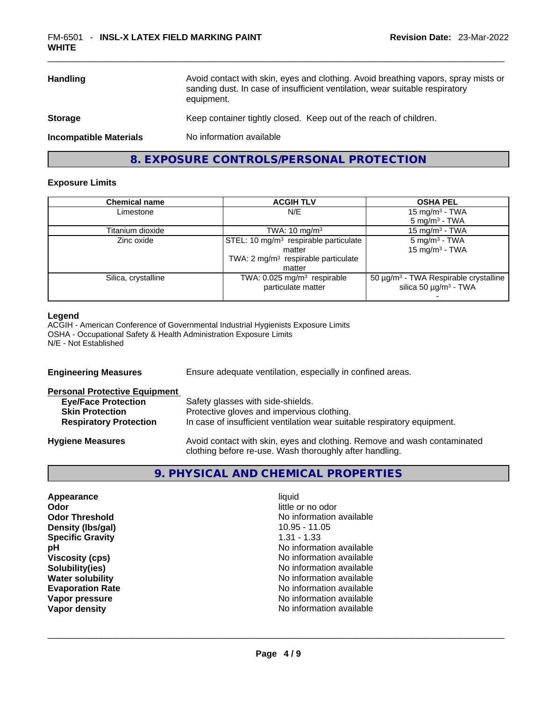| <b>Handling</b>               | Avoid contact with skin, eyes and clothing. Avoid breathing vapors, spray mists or<br>sanding dust. In case of insufficient ventilation, wear suitable respiratory<br>equipment. |
|-------------------------------|----------------------------------------------------------------------------------------------------------------------------------------------------------------------------------|
| <b>Storage</b>                | Keep container tightly closed. Keep out of the reach of children.                                                                                                                |
| <b>Incompatible Materials</b> | No information available                                                                                                                                                         |
|                               |                                                                                                                                                                                  |

### **8. EXPOSURE CONTROLS/PERSONAL PROTECTION**

#### **Exposure Limits**

| <b>Chemical name</b> | <b>ACGIH TLV</b>                                  | <b>OSHA PEL</b>                                        |
|----------------------|---------------------------------------------------|--------------------------------------------------------|
| Limestone            | N/E                                               | $15 \text{ mg/m}^3$ - TWA                              |
|                      |                                                   | $5 \text{ mg/m}^3$ - TWA                               |
| Titanium dioxide     | TWA: $10 \text{ mg/m}^3$                          | 15 mg/m <sup>3</sup> - TWA                             |
| Zinc oxide           | STEL: 10 mg/m <sup>3</sup> respirable particulate | $5 \text{ mg/m}^3$ - TWA                               |
|                      | matter                                            | 15 mg/m <sup>3</sup> - TWA                             |
|                      | TWA: 2 mg/m <sup>3</sup> respirable particulate   |                                                        |
|                      | matter                                            |                                                        |
| Silica, crystalline  | TWA: 0.025 mg/m <sup>3</sup> respirable           | 50 $\mu$ g/m <sup>3</sup> - TWA Respirable crystalline |
|                      | particulate matter                                | silica 50 $\mu$ g/m <sup>3</sup> - TWA                 |
|                      |                                                   |                                                        |

#### **Legend**

ACGIH - American Conference of Governmental Industrial Hygienists Exposure Limits OSHA - Occupational Safety & Health Administration Exposure Limits N/E - Not Established

| <b>Engineering Measures</b>                                                                                                   | Ensure adequate ventilation, especially in confined areas.                                                                                                  |  |
|-------------------------------------------------------------------------------------------------------------------------------|-------------------------------------------------------------------------------------------------------------------------------------------------------------|--|
| <b>Personal Protective Equipment</b><br><b>Eye/Face Protection</b><br><b>Skin Protection</b><br><b>Respiratory Protection</b> | Safety glasses with side-shields.<br>Protective gloves and impervious clothing.<br>In case of insufficient ventilation wear suitable respiratory equipment. |  |
| <b>Hygiene Measures</b>                                                                                                       | Avoid contact with skin, eyes and clothing. Remove and wash contaminated<br>clothing before re-use. Wash thoroughly after handling.                         |  |

# **9. PHYSICAL AND CHEMICAL PROPERTIES**

| Appearance              | liauid            |
|-------------------------|-------------------|
| Odor                    | little or no odor |
| <b>Odor Threshold</b>   | No information av |
| Density (Ibs/gal)       | 10.95 - 11.05     |
| <b>Specific Gravity</b> | $1.31 - 1.33$     |
| рH                      | No information av |
| <b>Viscosity (cps)</b>  | No information av |
| Solubility(ies)         | No information av |
| <b>Water solubility</b> | No information av |
| <b>Evaporation Rate</b> | No information av |
| Vapor pressure          | No information av |
| Vapor density           | No information av |

little or no odor **No information available Density (lbs/gal)** 10.95 - 11.05 **Specific Gravity** 1.31 - 1.33 No information available **Viscosity (cps)** No information available **Solubility(ies)** No information available **No information available Evaporation Rate** No information available No information available<br>No information available **Vapor density** No information available \_\_\_\_\_\_\_\_\_\_\_\_\_\_\_\_\_\_\_\_\_\_\_\_\_\_\_\_\_\_\_\_\_\_\_\_\_\_\_\_\_\_\_\_\_\_\_\_\_\_\_\_\_\_\_\_\_\_\_\_\_\_\_\_\_\_\_\_\_\_\_\_\_\_\_\_\_\_\_\_\_\_\_\_\_\_\_\_\_\_\_\_\_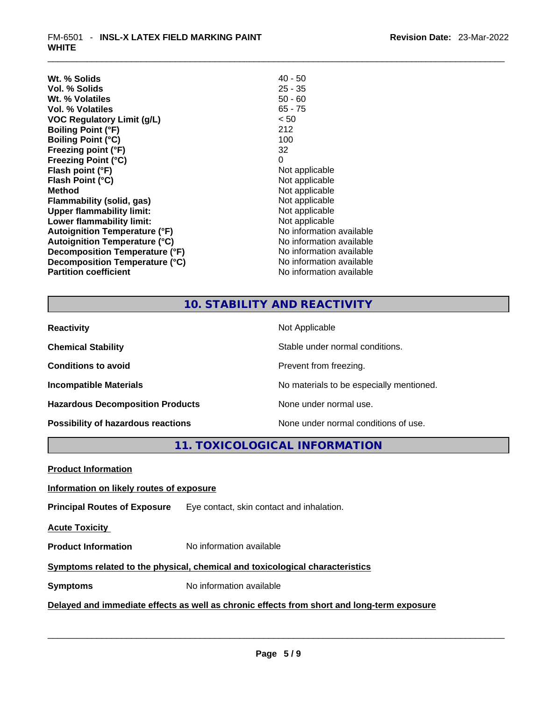| Wt. % Solids                         | $40 - 50$                |
|--------------------------------------|--------------------------|
| Vol. % Solids                        | $25 - 35$                |
| Wt. % Volatiles                      | $50 - 60$                |
| Vol. % Volatiles                     | $65 - 75$                |
| VOC Regulatory Limit (g/L)           | < 50                     |
| <b>Boiling Point (°F)</b>            | 212                      |
| <b>Boiling Point (°C)</b>            | 100                      |
| Freezing point (°F)                  | 32                       |
| <b>Freezing Point (°C)</b>           | 0                        |
| Flash point (°F)                     | Not applicable           |
| Flash Point (°C)                     | Not applicable           |
| <b>Method</b>                        | Not applicable           |
| Flammability (solid, gas)            | Not applicable           |
| <b>Upper flammability limit:</b>     | Not applicable           |
| Lower flammability limit:            | Not applicable           |
| <b>Autoignition Temperature (°F)</b> | No information available |
| <b>Autoignition Temperature (°C)</b> | No information available |
| Decomposition Temperature (°F)       | No information available |
| Decomposition Temperature (°C)       | No information available |
| <b>Partition coefficient</b>         | No information available |

# **10. STABILITY AND REACTIVITY**

| <b>Reactivity</b>                       | Not Applicable                           |
|-----------------------------------------|------------------------------------------|
| <b>Chemical Stability</b>               | Stable under normal conditions.          |
| <b>Conditions to avoid</b>              | Prevent from freezing.                   |
| <b>Incompatible Materials</b>           | No materials to be especially mentioned. |
| <b>Hazardous Decomposition Products</b> | None under normal use.                   |
| Possibility of hazardous reactions      | None under normal conditions of use.     |

# **11. TOXICOLOGICAL INFORMATION**

| <b>Product Information</b>                                                                 |                                           |  |
|--------------------------------------------------------------------------------------------|-------------------------------------------|--|
| Information on likely routes of exposure                                                   |                                           |  |
| <b>Principal Routes of Exposure</b>                                                        | Eye contact, skin contact and inhalation. |  |
| <b>Acute Toxicity</b>                                                                      |                                           |  |
| <b>Product Information</b>                                                                 | No information available                  |  |
| Symptoms related to the physical, chemical and toxicological characteristics               |                                           |  |
| <b>Symptoms</b>                                                                            | No information available                  |  |
| Delayed and immediate effects as well as chronic effects from short and long-term exposure |                                           |  |
|                                                                                            |                                           |  |
|                                                                                            |                                           |  |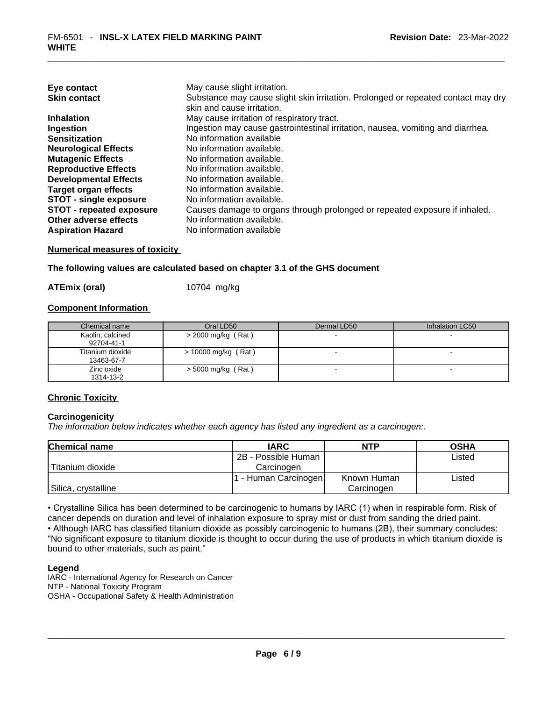| Eye contact                     | May cause slight irritation.                                                      |
|---------------------------------|-----------------------------------------------------------------------------------|
| <b>Skin contact</b>             | Substance may cause slight skin irritation. Prolonged or repeated contact may dry |
|                                 | skin and cause irritation.                                                        |
| <b>Inhalation</b>               | May cause irritation of respiratory tract.                                        |
| Ingestion                       | Ingestion may cause gastrointestinal irritation, nausea, vomiting and diarrhea.   |
| <b>Sensitization</b>            | No information available                                                          |
| <b>Neurological Effects</b>     | No information available.                                                         |
| <b>Mutagenic Effects</b>        | No information available.                                                         |
| <b>Reproductive Effects</b>     | No information available.                                                         |
| <b>Developmental Effects</b>    | No information available.                                                         |
| Target organ effects            | No information available.                                                         |
| <b>STOT - single exposure</b>   | No information available.                                                         |
| <b>STOT - repeated exposure</b> | Causes damage to organs through prolonged or repeated exposure if inhaled.        |
| Other adverse effects           | No information available.                                                         |
| <b>Aspiration Hazard</b>        | No information available                                                          |

**Numerical measures of toxicity**

#### **The following values are calculated based on chapter 3.1 of the GHS document**

**ATEmix (oral)** 10704 mg/kg

#### **Component Information**

| Chemical name                  | Oral LD50             | Dermal LD50 | Inhalation LC50          |
|--------------------------------|-----------------------|-------------|--------------------------|
| Kaolin, calcined<br>92704-41-1 | $>$ 2000 mg/kg (Rat)  |             |                          |
| Titanium dioxide<br>13463-67-7 | $> 10000$ mg/kg (Rat) |             | $\overline{\phantom{a}}$ |
| Zinc oxide<br>1314-13-2        | $>$ 5000 mg/kg (Rat)  |             |                          |

#### **Chronic Toxicity**

#### **Carcinogenicity**

*The information below indicates whether each agency has listed any ingredient as a carcinogen:.* 

| <b>Chemical name</b> | <b>IARC</b>          | NTP         | <b>OSHA</b> |
|----------------------|----------------------|-------------|-------------|
|                      | 2B - Possible Human  |             | Listed      |
| Titanium dioxide     | Carcinogen           |             |             |
|                      | 1 - Human Carcinogen | Known Human | Listed      |
| Silica, crystalline  |                      | Carcinogen  |             |

• Crystalline Silica has been determined to be carcinogenic to humans by IARC (1) when in respirable form. Risk of cancer depends on duration and level of inhalation exposure to spray mist or dust from sanding the dried paint.• Although IARC has classified titanium dioxide as possibly carcinogenic to humans (2B), their summary concludes: "No significant exposure to titanium dioxide is thought to occur during the use of products in which titanium dioxide is bound to other materials, such as paint."

#### **Legend**

IARC - International Agency for Research on Cancer NTP - National Toxicity Program OSHA - Occupational Safety & Health Administration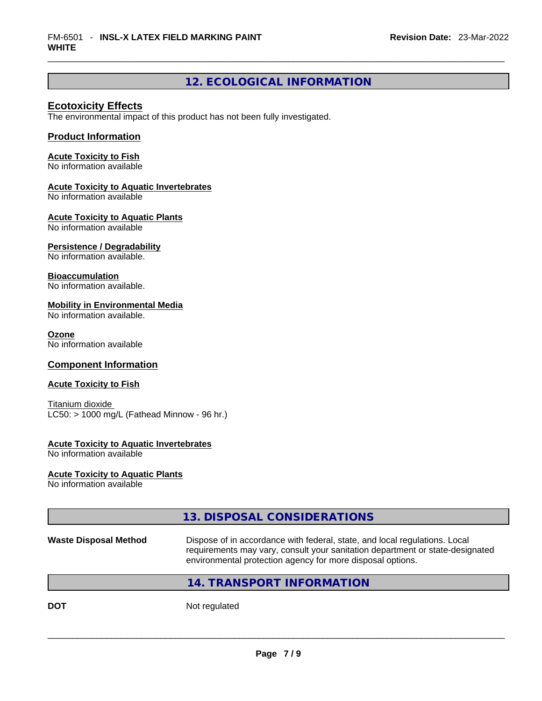# **12. ECOLOGICAL INFORMATION**

#### **Ecotoxicity Effects**

The environmental impact of this product has not been fully investigated.

#### **Product Information**

#### **Acute Toxicity to Fish**

No information available

#### **Acute Toxicity to Aquatic Invertebrates**

No information available

#### **Acute Toxicity to Aquatic Plants**

No information available

#### **Persistence / Degradability**

No information available.

#### **Bioaccumulation**

No information available.

#### **Mobility in Environmental Media**

No information available.

#### **Ozone**

No information available

#### **Component Information**

#### **Acute Toxicity to Fish**

Titanium dioxide  $LC50:$  > 1000 mg/L (Fathead Minnow - 96 hr.)

#### **Acute Toxicity to Aquatic Invertebrates**

No information available

#### **Acute Toxicity to Aquatic Plants**

No information available

# **13. DISPOSAL CONSIDERATIONS Waste Disposal Method** Dispose of in accordance with federal, state, and local regulations. Local requirements may vary, consult your sanitation department or state-designated environmental protection agency for more disposal options.

#### **14. TRANSPORT INFORMATION**

**DOT** Not regulated  $\blacksquare$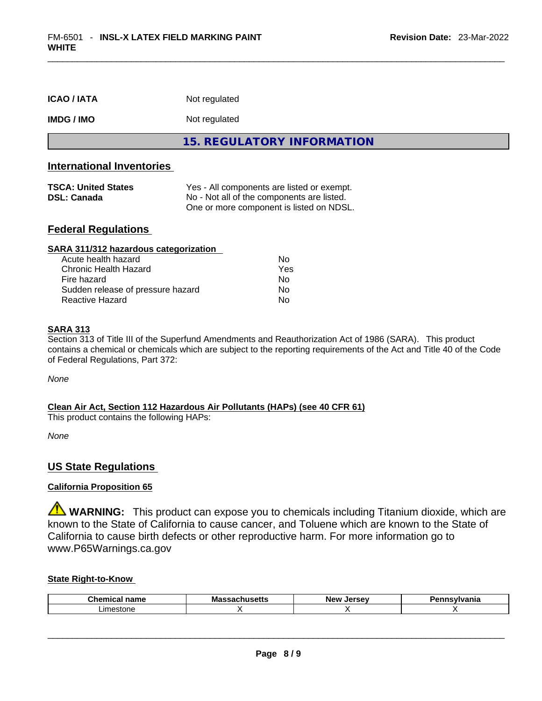| <b>ICAO/IATA</b>  | Not regulated              |
|-------------------|----------------------------|
| <b>IMDG / IMO</b> | Not regulated              |
|                   | 15. REGULATORY INFORMATION |

#### **International Inventories**

| <b>TSCA: United States</b> | Yes - All components are listed or exempt. |
|----------------------------|--------------------------------------------|
| <b>DSL: Canada</b>         | No - Not all of the components are listed. |
|                            | One or more component is listed on NDSL.   |

#### **Federal Regulations**

| SARA 311/312 hazardous categorization |     |  |
|---------------------------------------|-----|--|
| Acute health hazard                   | Nο  |  |
| Chronic Health Hazard                 | Yes |  |
| Fire hazard                           | No  |  |
| Sudden release of pressure hazard     | Nο  |  |
| <b>Reactive Hazard</b>                | No  |  |

#### **SARA 313**

Section 313 of Title III of the Superfund Amendments and Reauthorization Act of 1986 (SARA). This product contains a chemical or chemicals which are subject to the reporting requirements of the Act and Title 40 of the Code of Federal Regulations, Part 372:

*None*

#### **Clean Air Act,Section 112 Hazardous Air Pollutants (HAPs) (see 40 CFR 61)**

This product contains the following HAPs:

*None*

#### **US State Regulations**

#### **California Proposition 65**

**WARNING:** This product can expose you to chemicals including Titanium dioxide, which are known to the State of California to cause cancer, and Toluene which are known to the State of California to cause birth defects or other reproductive harm. For more information go to www.P65Warnings.ca.gov

#### **State Right-to-Know**

| Chemi<br>$     -$<br>name | Mas<br>ວບແວ<br>-- | New<br>Jersev | snovihionio<br>'lle. |
|---------------------------|-------------------|---------------|----------------------|
| imestone                  |                   |               |                      |